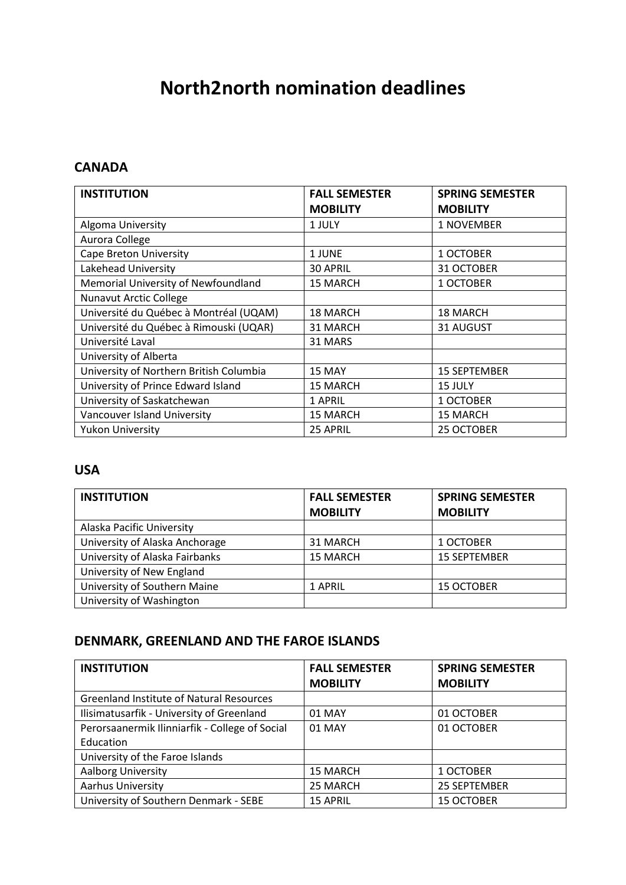# **North2north nomination deadlines**

#### **CANADA**

| <b>INSTITUTION</b>                      | <b>FALL SEMESTER</b> | <b>SPRING SEMESTER</b> |
|-----------------------------------------|----------------------|------------------------|
|                                         | <b>MOBILITY</b>      | <b>MOBILITY</b>        |
| Algoma University                       | 1 JULY               | 1 NOVEMBER             |
| Aurora College                          |                      |                        |
| <b>Cape Breton University</b>           | 1 JUNE               | 1 OCTOBER              |
| Lakehead University                     | <b>30 APRIL</b>      | 31 OCTOBER             |
| Memorial University of Newfoundland     | <b>15 MARCH</b>      | 1 OCTOBER              |
| <b>Nunavut Arctic College</b>           |                      |                        |
| Université du Québec à Montréal (UQAM)  | <b>18 MARCH</b>      | <b>18 MARCH</b>        |
| Université du Québec à Rimouski (UQAR)  | 31 MARCH             | 31 AUGUST              |
| Université Laval                        | 31 MARS              |                        |
| University of Alberta                   |                      |                        |
| University of Northern British Columbia | 15 MAY               | <b>15 SEPTEMBER</b>    |
| University of Prince Edward Island      | <b>15 MARCH</b>      | 15 JULY                |
| University of Saskatchewan              | 1 APRIL              | 1 OCTOBER              |
| Vancouver Island University             | <b>15 MARCH</b>      | 15 MARCH               |
| <b>Yukon University</b>                 | 25 APRIL             | 25 OCTOBER             |

# **USA**

| <b>INSTITUTION</b>             | <b>FALL SEMESTER</b><br><b>MOBILITY</b> | <b>SPRING SEMESTER</b><br><b>MOBILITY</b> |
|--------------------------------|-----------------------------------------|-------------------------------------------|
| Alaska Pacific University      |                                         |                                           |
| University of Alaska Anchorage | 31 MARCH                                | 1 OCTOBER                                 |
| University of Alaska Fairbanks | 15 MARCH                                | <b>15 SEPTEMBER</b>                       |
| University of New England      |                                         |                                           |
| University of Southern Maine   | 1 APRIL                                 | 15 OCTOBER                                |
| University of Washington       |                                         |                                           |

# **DENMARK, GREENLAND AND THE FAROE ISLANDS**

| <b>INSTITUTION</b>                              | <b>FALL SEMESTER</b> | <b>SPRING SEMESTER</b> |
|-------------------------------------------------|----------------------|------------------------|
|                                                 | <b>MOBILITY</b>      | <b>MOBILITY</b>        |
| <b>Greenland Institute of Natural Resources</b> |                      |                        |
| Ilisimatusarfik - University of Greenland       | 01 MAY               | 01 OCTOBER             |
| Perorsaanermik Ilinniarfik - College of Social  | 01 MAY               | 01 OCTOBER             |
| Education                                       |                      |                        |
| University of the Faroe Islands                 |                      |                        |
| Aalborg University                              | <b>15 MARCH</b>      | 1 OCTOBER              |
| Aarhus University                               | 25 MARCH             | 25 SEPTEMBER           |
| University of Southern Denmark - SEBE           | <b>15 APRIL</b>      | <b>15 OCTOBER</b>      |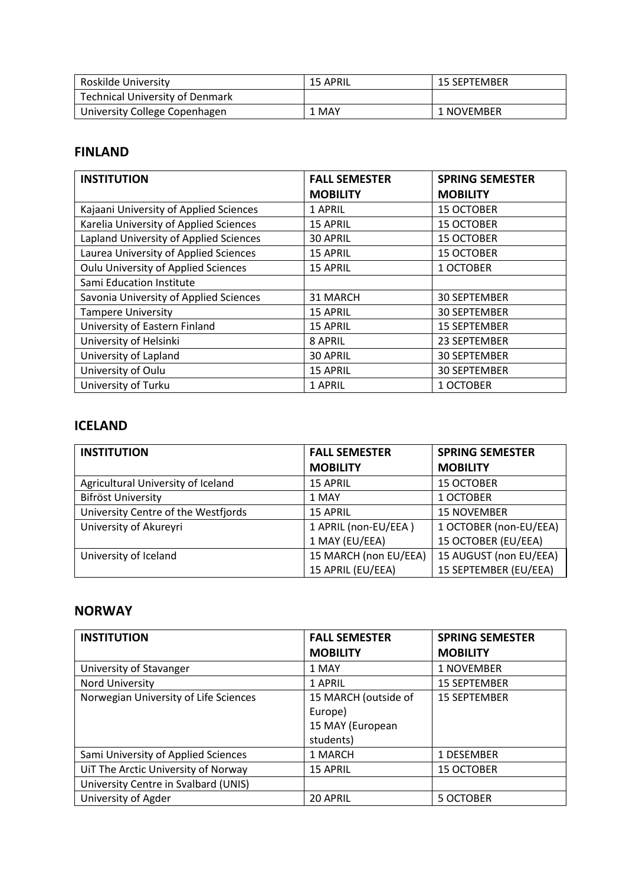| Roskilde University                    | <b>15 APRIL</b> | <b>15 SEPTEMBER</b> |
|----------------------------------------|-----------------|---------------------|
| <b>Technical University of Denmark</b> |                 |                     |
| University College Copenhagen          | 1 MAY           | 1 NOVEMBER          |

### **FINLAND**

| <b>INSTITUTION</b>                     | <b>FALL SEMESTER</b> | <b>SPRING SEMESTER</b> |
|----------------------------------------|----------------------|------------------------|
|                                        | <b>MOBILITY</b>      | <b>MOBILITY</b>        |
| Kajaani University of Applied Sciences | 1 APRIL              | <b>15 OCTOBER</b>      |
| Karelia University of Applied Sciences | 15 APRIL             | <b>15 OCTOBER</b>      |
| Lapland University of Applied Sciences | 30 APRIL             | <b>15 OCTOBER</b>      |
| Laurea University of Applied Sciences  | <b>15 APRIL</b>      | <b>15 OCTOBER</b>      |
| Oulu University of Applied Sciences    | <b>15 APRIL</b>      | 1 OCTOBER              |
| Sami Education Institute               |                      |                        |
| Savonia University of Applied Sciences | 31 MARCH             | 30 SEPTEMBER           |
| <b>Tampere University</b>              | <b>15 APRIL</b>      | <b>30 SEPTEMBER</b>    |
| University of Eastern Finland          | <b>15 APRIL</b>      | <b>15 SEPTEMBER</b>    |
| University of Helsinki                 | 8 APRIL              | 23 SEPTEMBER           |
| University of Lapland                  | 30 APRIL             | <b>30 SEPTEMBER</b>    |
| University of Oulu                     | <b>15 APRIL</b>      | <b>30 SEPTEMBER</b>    |
| University of Turku                    | 1 APRIL              | 1 OCTOBER              |

# **ICELAND**

| <b>INSTITUTION</b>                  | <b>FALL SEMESTER</b>  | <b>SPRING SEMESTER</b> |
|-------------------------------------|-----------------------|------------------------|
|                                     | <b>MOBILITY</b>       | <b>MOBILITY</b>        |
| Agricultural University of Iceland  | <b>15 APRIL</b>       | <b>15 OCTOBER</b>      |
| Bifröst University                  | 1 MAY                 | 1 OCTOBER              |
| University Centre of the Westfjords | <b>15 APRIL</b>       | <b>15 NOVEMBER</b>     |
| University of Akureyri              | 1 APRIL (non-EU/EEA)  | 1 OCTOBER (non-EU/EEA) |
|                                     | 1 MAY (EU/EEA)        | 15 OCTOBER (EU/EEA)    |
| University of Iceland               | 15 MARCH (non EU/EEA) | 15 AUGUST (non EU/EEA) |
|                                     | 15 APRIL (EU/EEA)     | 15 SEPTEMBER (EU/EEA)  |

## **NORWAY**

| <b>INSTITUTION</b>                    | <b>FALL SEMESTER</b> | <b>SPRING SEMESTER</b> |
|---------------------------------------|----------------------|------------------------|
|                                       | <b>MOBILITY</b>      | <b>MOBILITY</b>        |
| University of Stavanger               | 1 MAY                | 1 NOVEMBER             |
| Nord University                       | 1 APRIL              | <b>15 SEPTEMBER</b>    |
| Norwegian University of Life Sciences | 15 MARCH (outside of | <b>15 SEPTEMBER</b>    |
|                                       | Europe)              |                        |
|                                       | 15 MAY (European     |                        |
|                                       | students)            |                        |
| Sami University of Applied Sciences   | 1 MARCH              | 1 DESEMBER             |
| UiT The Arctic University of Norway   | <b>15 APRIL</b>      | <b>15 OCTOBER</b>      |
| University Centre in Svalbard (UNIS)  |                      |                        |
| University of Agder                   | 20 APRIL             | 5 OCTOBER              |